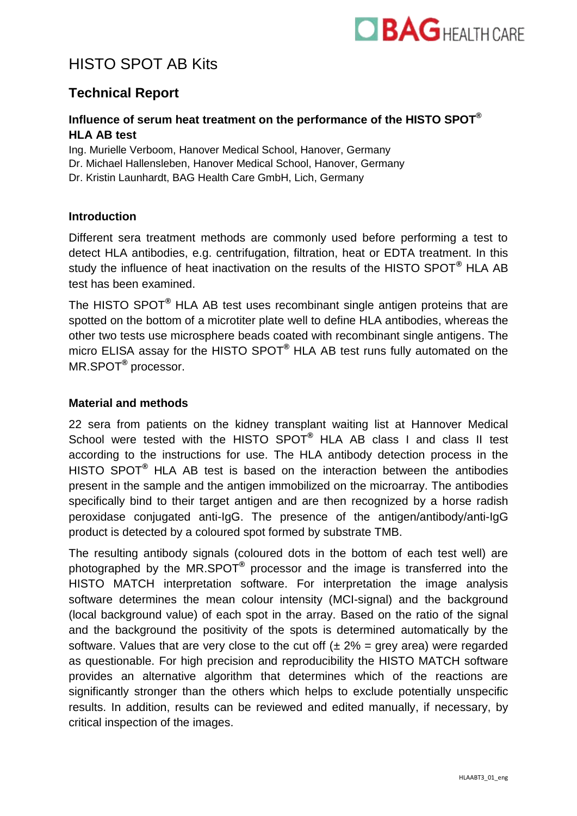

# HISTO SPOT AB Kits

## **Technical Report**

## **Influence of serum heat treatment on the performance of the HISTO SPOT® HLA AB test**

Ing. Murielle Verboom, Hanover Medical School, Hanover, Germany Dr. Michael Hallensleben, Hanover Medical School, Hanover, Germany Dr. Kristin Launhardt, BAG Health Care GmbH, Lich, Germany

### **Introduction**

Different sera treatment methods are commonly used before performing a test to detect HLA antibodies, e.g. centrifugation, filtration, heat or EDTA treatment. In this study the influence of heat inactivation on the results of the HISTO SPOT**®** HLA AB test has been examined.

The HISTO SPOT**®** HLA AB test uses recombinant single antigen proteins that are spotted on the bottom of a microtiter plate well to define HLA antibodies, whereas the other two tests use microsphere beads coated with recombinant single antigens. The micro ELISA assay for the HISTO SPOT **®** HLA AB test runs fully automated on the MR.SPOT**®** processor.

#### **Material and methods**

22 sera from patients on the kidney transplant waiting list at Hannover Medical School were tested with the HISTO SPOT**®** HLA AB class I and class II test according to the instructions for use. The HLA antibody detection process in the HISTO SPOT**®** HLA AB test is based on the interaction between the antibodies present in the sample and the antigen immobilized on the microarray. The antibodies specifically bind to their target antigen and are then recognized by a horse radish peroxidase conjugated anti-IgG. The presence of the antigen/antibody/anti-IgG product is detected by a coloured spot formed by substrate TMB.

The resulting antibody signals (coloured dots in the bottom of each test well) are photographed by the MR.SPOT**®** processor and the image is transferred into the HISTO MATCH interpretation software. For interpretation the image analysis software determines the mean colour intensity (MCI-signal) and the background (local background value) of each spot in the array. Based on the ratio of the signal and the background the positivity of the spots is determined automatically by the software. Values that are very close to the cut off  $(\pm 2\% = \text{grey area})$  were regarded as questionable. For high precision and reproducibility the HISTO MATCH software provides an alternative algorithm that determines which of the reactions are significantly stronger than the others which helps to exclude potentially unspecific results. In addition, results can be reviewed and edited manually, if necessary, by critical inspection of the images.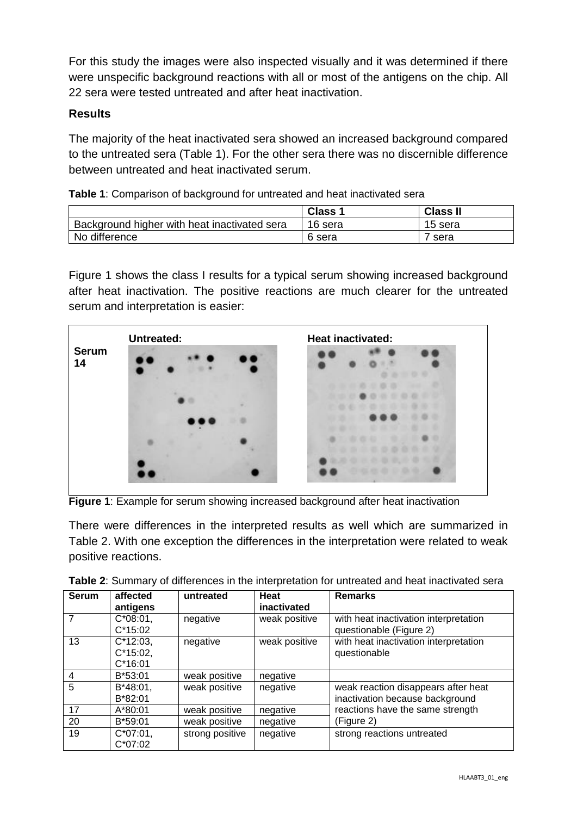For this study the images were also inspected visually and it was determined if there were unspecific background reactions with all or most of the antigens on the chip. All 22 sera were tested untreated and after heat inactivation.

## **Results**

The majority of the heat inactivated sera showed an increased background compared to the untreated sera (Table 1). For the other sera there was no discernible difference between untreated and heat inactivated serum.

| Table 1: Comparison of background for untreated and heat inactivated sera |  |  |
|---------------------------------------------------------------------------|--|--|
|                                                                           |  |  |

|                                              | <b>Class 1</b> | <b>Class II</b> |
|----------------------------------------------|----------------|-----------------|
| Background higher with heat inactivated sera | 16 sera        | 15 sera         |
| No difference                                | 6 sera         | sera            |

Figure 1 shows the class I results for a typical serum showing increased background after heat inactivation. The positive reactions are much clearer for the untreated serum and interpretation is easier:



**Figure 1**: Example for serum showing increased background after heat inactivation

There were differences in the interpreted results as well which are summarized in Table 2. With one exception the differences in the interpretation were related to weak positive reactions.

| <b>Serum</b> | affected<br>antigens                    | untreated       | Heat<br>inactivated | <b>Remarks</b>                                                         |
|--------------|-----------------------------------------|-----------------|---------------------|------------------------------------------------------------------------|
|              | $C*08:01$ ,<br>$C*15:02$                | negative        | weak positive       | with heat inactivation interpretation<br>questionable (Figure 2)       |
| 13           | $C*12:03$ ,<br>$C*15:02$ ,<br>$C*16:01$ | negative        | weak positive       | with heat inactivation interpretation<br>questionable                  |
| 4            | $B*53:01$                               | weak positive   | negative            |                                                                        |
| 5            | $B*48:01,$<br>$B*82:01$                 | weak positive   | negative            | weak reaction disappears after heat<br>inactivation because background |
| 17           | $A*80:01$                               | weak positive   | negative            | reactions have the same strength                                       |
| 20           | B*59:01                                 | weak positive   | negative            | (Figure 2)                                                             |
| 19           | $C*07:01$ ,<br>$C*07:02$                | strong positive | negative            | strong reactions untreated                                             |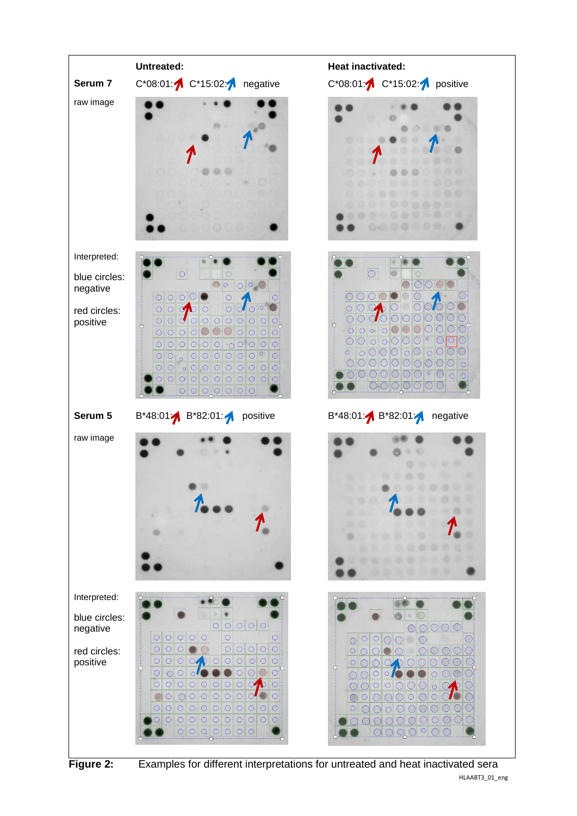



HLAABT3\_01\_eng **Figure 2:** Examples for different interpretations for untreated and heat inactivated sera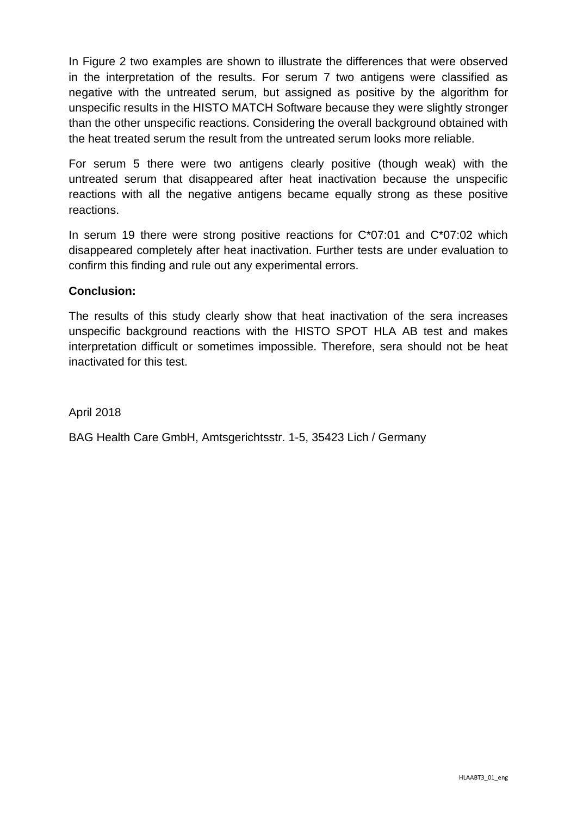In Figure 2 two examples are shown to illustrate the differences that were observed in the interpretation of the results. For serum 7 two antigens were classified as negative with the untreated serum, but assigned as positive by the algorithm for unspecific results in the HISTO MATCH Software because they were slightly stronger than the other unspecific reactions. Considering the overall background obtained with the heat treated serum the result from the untreated serum looks more reliable.

For serum 5 there were two antigens clearly positive (though weak) with the untreated serum that disappeared after heat inactivation because the unspecific reactions with all the negative antigens became equally strong as these positive reactions.

In serum 19 there were strong positive reactions for  $C^*07:01$  and  $C^*07:02$  which disappeared completely after heat inactivation. Further tests are under evaluation to confirm this finding and rule out any experimental errors.

## **Conclusion:**

The results of this study clearly show that heat inactivation of the sera increases unspecific background reactions with the HISTO SPOT HLA AB test and makes interpretation difficult or sometimes impossible. Therefore, sera should not be heat inactivated for this test.

April 2018

BAG Health Care GmbH, Amtsgerichtsstr. 1-5, 35423 Lich / Germany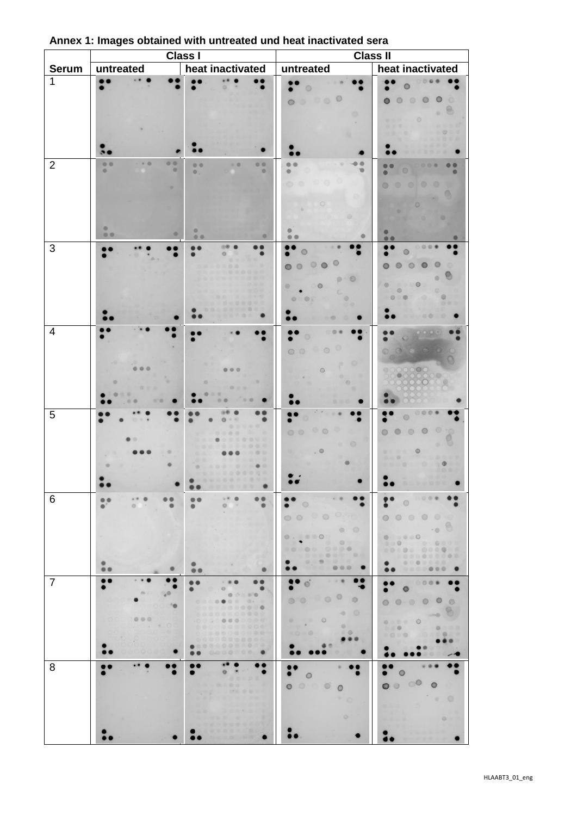|                |                                   | <b>Class I</b>                                                             |                                                                                          | <b>Class II</b>                                                                                                                                      |
|----------------|-----------------------------------|----------------------------------------------------------------------------|------------------------------------------------------------------------------------------|------------------------------------------------------------------------------------------------------------------------------------------------------|
| <b>Serum</b>   | untreated                         | heat inactivated                                                           | untreated                                                                                | heat inactivated                                                                                                                                     |
| 1              |                                   |                                                                            | o                                                                                        |                                                                                                                                                      |
|                |                                   |                                                                            | 0000<br>$\circ$                                                                          | $\circ$<br>$\circ$                                                                                                                                   |
|                |                                   |                                                                            |                                                                                          |                                                                                                                                                      |
|                |                                   |                                                                            |                                                                                          | $\circ$                                                                                                                                              |
|                |                                   |                                                                            |                                                                                          |                                                                                                                                                      |
|                |                                   |                                                                            |                                                                                          |                                                                                                                                                      |
| $\overline{2}$ | $-0$<br>00<br><br>O.<br>$\bullet$ | 00<br>00<br>$-0.1$<br>$\circ$                                              | a                                                                                        |                                                                                                                                                      |
|                |                                   |                                                                            |                                                                                          | œ.                                                                                                                                                   |
|                |                                   |                                                                            |                                                                                          |                                                                                                                                                      |
|                |                                   |                                                                            |                                                                                          |                                                                                                                                                      |
|                | ۰<br>00                           | e                                                                          |                                                                                          |                                                                                                                                                      |
| 3              |                                   | 00                                                                         |                                                                                          | 88 O                                                                                                                                                 |
|                |                                   | ö                                                                          |                                                                                          |                                                                                                                                                      |
|                |                                   |                                                                            | $\circ$<br>$\circ$ $\circ$                                                               |                                                                                                                                                      |
|                |                                   |                                                                            | ◉<br>$\circ$                                                                             | $\circ$                                                                                                                                              |
|                |                                   |                                                                            | $\circ$                                                                                  | $\blacksquare$                                                                                                                                       |
|                |                                   |                                                                            |                                                                                          |                                                                                                                                                      |
| $\overline{4}$ |                                   |                                                                            |                                                                                          |                                                                                                                                                      |
|                |                                   |                                                                            | $\circ$<br>$\circ$<br>$\circ$                                                            |                                                                                                                                                      |
|                |                                   |                                                                            | $\circ$                                                                                  | 000                                                                                                                                                  |
|                |                                   |                                                                            |                                                                                          | XX                                                                                                                                                   |
|                | 8.8                               | <b>COLOR</b><br>0.01                                                       |                                                                                          |                                                                                                                                                      |
| 5              |                                   |                                                                            |                                                                                          |                                                                                                                                                      |
|                |                                   | e                                                                          |                                                                                          | i O                                                                                                                                                  |
|                |                                   |                                                                            | $\circ$                                                                                  | $\circ$                                                                                                                                              |
|                |                                   |                                                                            | . 0                                                                                      | $\circ$                                                                                                                                              |
|                |                                   | o.<br><b>CONTRACTOR</b>                                                    |                                                                                          |                                                                                                                                                      |
|                |                                   |                                                                            |                                                                                          |                                                                                                                                                      |
| $\,6\,$        | <br>$-0.$<br>$\bullet$            | 25.0<br>$\bullet$<br><br>$\bullet$<br>$\circ$<br>$100 - 100$<br>$^{\circ}$ | $x = 40$<br>$\circ$                                                                      | <br>$\circ$                                                                                                                                          |
|                |                                   | $\omega$ .                                                                 | 00000                                                                                    |                                                                                                                                                      |
|                |                                   |                                                                            | $\begin{array}{ccc} \circ & \circ \end{array}$<br>$\bullet\cdot\bullet\bullet\circ\circ$ | $\cdot \circ$<br>$\begin{array}{c c} \bullet & \bullet & \bullet & \bullet \end{array}$                                                              |
|                |                                   |                                                                            |                                                                                          | 190 0000<br>                                                                                                                                         |
|                |                                   |                                                                            | <br><b>The</b><br>$\bullet$                                                              | 0000000000<br>                                                                                                                                       |
| $\overline{7}$ |                                   | $\bullet$<br>$\bullet$<br>$\bullet$                                        | - 卷<br>. .                                                                               | $\begin{array}{c c c c c c} \hline \multicolumn{3}{c }{\ddots} & \multicolumn{3}{c }{\ddots} & \multicolumn{3}{c }{\ddots} \end{array}$<br>$\bullet$ |
|                | (0, 1)<br>$e^{\Theta}$            | $\bullet$<br>$\circ$<br>$\bullet$                                          | O<br>$\circ \circ \circ$<br>$\circ$                                                      | $\bullet$<br>$\bullet$                                                                                                                               |
|                |                                   | <br>0000000000<br>                                                         | $-0$                                                                                     | $\begin{array}{ccccc}\n\bullet & \bullet & \circ & \circ\n\end{array}$<br>$\circ$<br>$\circ$<br>⊕.                                                   |
|                | 000<br>$\bullet$ 0                | .0000000000<br>0000000000                                                  | $\begin{array}{c} \circ \\ \circ \end{array}$<br>重新<br>$\circ$                           | $\begin{array}{ccccccccccccc} \circ & \circ & \circ & \circ & \circ \end{array}$<br>00000000<br>o                                                    |
|                |                                   | 000000000000<br>0000000000                                                 | 000<br>                                                                                  | <br><b>DESCRIPTION</b>                                                                                                                               |
|                | 88. QA                            | <br><br>$\bullet$<br>$\bullet$                                             |                                                                                          |                                                                                                                                                      |
| 8              |                                   | <br>$\circ$<br>٠<br>$\bullet$                                              |                                                                                          | 0 <sub>0</sub><br>$\circ$<br>$\bullet$                                                                                                               |
|                |                                   | TO B<br>$-20.00$<br>The real control of the state                          | $\circ$<br>O(2)<br>$\circ$<br>$\circ$<br>$\circ$                                         | $\circ \circ \circ$<br>$\circ$                                                                                                                       |
|                |                                   | 19.00<br>$\mathcal{L}^{\mathcal{A}}$<br><b>B-B-S-1</b>                     |                                                                                          | $\circ$<br>٠                                                                                                                                         |
|                |                                   | . .<br>٠                                                                   | $\circ$                                                                                  | O <sub>1</sub>                                                                                                                                       |
|                |                                   |                                                                            |                                                                                          |                                                                                                                                                      |
|                |                                   |                                                                            |                                                                                          |                                                                                                                                                      |

## **Annex 1: Images obtained with untreated und heat inactivated sera**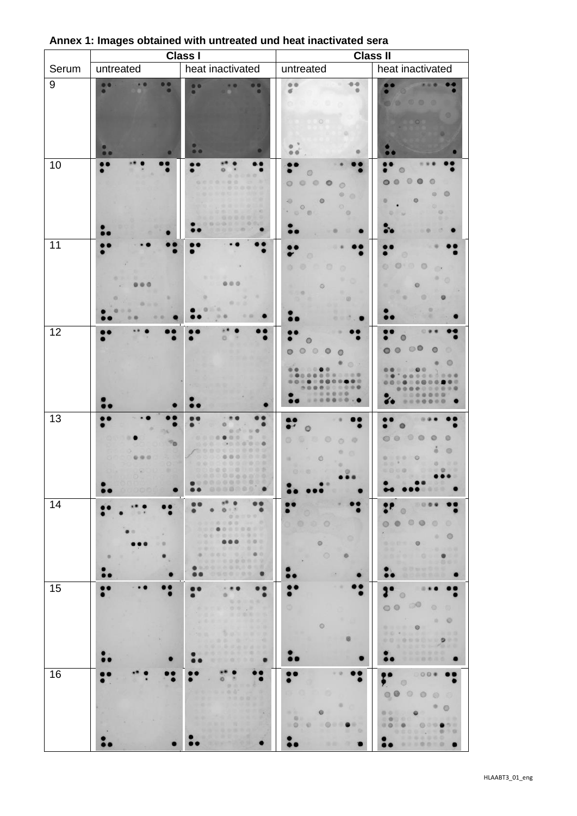|                  |                      | <b>Class I</b>                                                                                                                                                                                                                                                                                                       |                                                                                                                                                                             | <b>Class II</b>                                                                                                                                                                                       |
|------------------|----------------------|----------------------------------------------------------------------------------------------------------------------------------------------------------------------------------------------------------------------------------------------------------------------------------------------------------------------|-----------------------------------------------------------------------------------------------------------------------------------------------------------------------------|-------------------------------------------------------------------------------------------------------------------------------------------------------------------------------------------------------|
| Serum            | untreated            | heat inactivated                                                                                                                                                                                                                                                                                                     | untreated                                                                                                                                                                   | heat inactivated                                                                                                                                                                                      |
| $\boldsymbol{9}$ | <br>. .<br>$\bullet$ | $\bullet$<br>. .<br><br>$\bullet$<br>$\bullet$<br>50                                                                                                                                                                                                                                                                 | 00<br>$\sigma$                                                                                                                                                              | ey.                                                                                                                                                                                                   |
| 10               |                      |                                                                                                                                                                                                                                                                                                                      | $\circ$<br>$O$ $O$<br>$\circ$<br>$\circ$<br>O<br>e.<br>$\circ$<br>×0.<br>$\circledcirc$<br>×.<br>$\begin{array}{ccccc}\n\bullet & \bullet & \bullet & \bullet\n\end{array}$ |                                                                                                                                                                                                       |
| 11               |                      |                                                                                                                                                                                                                                                                                                                      | ō<br>œ                                                                                                                                                                      |                                                                                                                                                                                                       |
| 12               |                      |                                                                                                                                                                                                                                                                                                                      | $\circ$<br>□■<br>$\bullet$<br><br>09                                                                                                                                        | 00                                                                                                                                                                                                    |
| 13               |                      | 0.03<br><br><br><br>0000000<br>$\bullet$<br>$\bullet$                                                                                                                                                                                                                                                                | ø<br>GF.<br>$\circ$<br>in.<br>O<br>×                                                                                                                                        | $\circ\circ$<br>$\begin{array}{ccccccccccccccccc} 0 & & 0 & & 0 & & 0 \end{array}$<br>(2, 10)<br><b>VS</b><br>0.000<br><b>TOP NO</b>                                                                  |
| 14               |                      | $8^{\circ}$ $\alpha$<br><br>0.12<br>$\bullet$<br>00000<br>000000<br><b>Card (CD)</b><br><br><br>0.0 0.<br>$\begin{array}{c c c c c c} \hline \multicolumn{1}{c }{\textbf{0.0}} & \multicolumn{1}{c }{\textbf{0.0}} \end{array}$<br>一些最好,我在现出着三条<br><br><b>MORCOOOOOO</b><br>●在政党司会委员会委员员<br>0000000<br>$\bullet$<br> | 00<br>$\circ$<br>o                                                                                                                                                          | 0009<br>$\circ$<br>$\circ \circ \circ$<br>$\circ$<br>ø<br>$\overline{r}$<br>$\circ$<br>۰<br><b>ARALLYS</b><br>- 東京都道<br><br>w<br>$-10000000$<br>00 00 00<br>$\bullet$                                 |
| 15               | ٠                    | $\cdots$<br>$\circ$<br>$\bullet$<br>THE GREAT<br>.<br><b>BY AT DIST</b><br><b>SALES OF REAL PROPERTY</b><br>m.<br><b>AT 10 20 20 10</b><br>÷<br>(以外)取决,所有证券日本<br>● 法法外出的条件 计重点图<br>2010/01/02 01:01:01<br>$\bullet$<br>$\bullet$                                                                                     | $\circ$                                                                                                                                                                     | $\circ$<br>$\circ$<br>$\circledcirc$<br>-165<br>$\begin{array}{ccccc}\n\circ & \circ & \circ\n\end{array}$<br>FOR DUCTION AND A<br>000000000000<br>. avers there<br>6 新染色集体系<br>一些社团自治局员<br>$\bullet$ |
| 16               |                      | <br>$\circ$<br>э<br>$0 - 1$<br>2010/01/22 22:00:00<br>23 23 1<br><b>BY ALL 9</b>                                                                                                                                                                                                                                     | $-9$<br>0000<br>$-0.01$<br>٠<br><b>QUE</b><br>1000<br>$^{\circ}$<br>×<br>$\sim$                                                                                             | 000<br>$\circledcirc$<br>$\circ$<br>0000<br>۰<br>O.<br>00 00<br>e<br>19. 保存 医花费<br>图● 200<br><br>9000000000<br><b>NRSSSO</b><br><b>A 0 0 1 0</b>                                                      |

## **Annex 1: Images obtained with untreated und heat inactivated sera**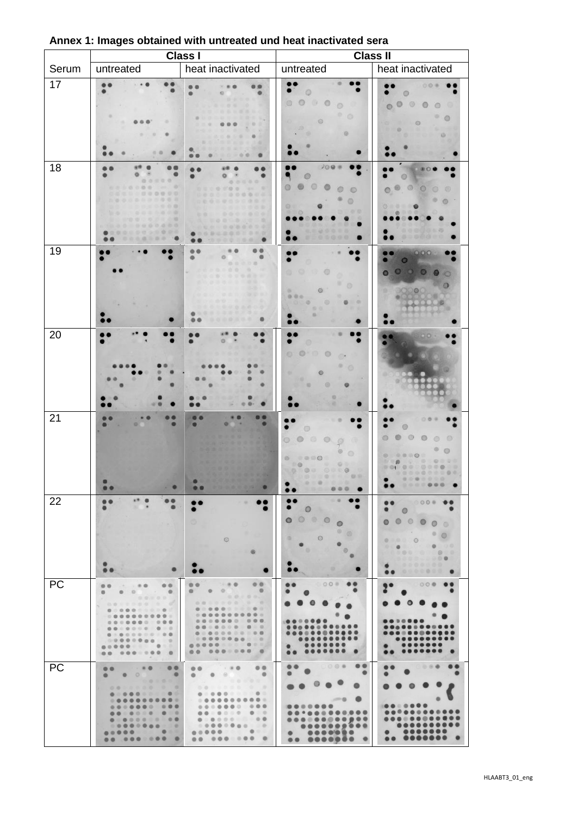|       |                                                                                                                                                                                                                                                     | <b>Class I</b>                                                                                                                                                                                                                                                                                                                                                                                                                                                                                                                                                                            | <b>Class II</b>                                                             |                                                                                                                                                                                                |
|-------|-----------------------------------------------------------------------------------------------------------------------------------------------------------------------------------------------------------------------------------------------------|-------------------------------------------------------------------------------------------------------------------------------------------------------------------------------------------------------------------------------------------------------------------------------------------------------------------------------------------------------------------------------------------------------------------------------------------------------------------------------------------------------------------------------------------------------------------------------------------|-----------------------------------------------------------------------------|------------------------------------------------------------------------------------------------------------------------------------------------------------------------------------------------|
| Serum | untreated                                                                                                                                                                                                                                           | heat inactivated                                                                                                                                                                                                                                                                                                                                                                                                                                                                                                                                                                          | untreated                                                                   | heat inactivated                                                                                                                                                                               |
| 17    |                                                                                                                                                                                                                                                     | $\alpha$                                                                                                                                                                                                                                                                                                                                                                                                                                                                                                                                                                                  | $\circ$<br>a                                                                | $\circ$                                                                                                                                                                                        |
| 18    | 0.0.0.0.0<br>٠<br><br>2/10<br>000,000<br>                                                                                                                                                                                                           | .<br><br>13 Q (8) (8)<br>0.0.8.0.0.0.0                                                                                                                                                                                                                                                                                                                                                                                                                                                                                                                                                    | 200<br>ø<br>$10 - 10$                                                       |                                                                                                                                                                                                |
| 19    |                                                                                                                                                                                                                                                     | e                                                                                                                                                                                                                                                                                                                                                                                                                                                                                                                                                                                         | G<br>×<br>ø<br>000<br><b>DOB</b>                                            | œ                                                                                                                                                                                              |
| 20    |                                                                                                                                                                                                                                                     |                                                                                                                                                                                                                                                                                                                                                                                                                                                                                                                                                                                           |                                                                             |                                                                                                                                                                                                |
| 21    |                                                                                                                                                                                                                                                     | ۰<br><b>DOM:</b><br>. .                                                                                                                                                                                                                                                                                                                                                                                                                                                                                                                                                                   | o<br>Ø.<br><br>19<br><br><b>STATISTICS</b><br>10.15<br>总示量<br>$-000$        | 0.0000<br><b>图 图 图 图</b><br>. 0. 3<br><br><br><br>$\bullet$                                                                                                                                    |
| 22    | $x^*$ $\theta$<br><br><br>曲                                                                                                                                                                                                                         | G<br>$\circ$                                                                                                                                                                                                                                                                                                                                                                                                                                                                                                                                                                              | ÷<br>$\circ$<br>$\circ$<br>$\circ$ $\circ$<br>o<br>$\circ$<br>٠<br>DD.<br>Ð | 0000<br>$\bullet$<br>$\bullet$<br>$\circ$<br>$\begin{array}{ccccc}\n\bullet & \circ & \bullet & \circ\n\end{array}$<br>$\bullet$<br>- 0<br>.<br>.<br><br><br>$\bullet$<br>0000000<br>$\bullet$ |
| PC    | 00<br>$-1.80$<br>0.0<br>۰<br>$\circ$<br>$\circ$<br>0.0000<br>00 - 0000 00<br><br>000000000<br>$\circ$ $\circ$<br>0.00000000<br>0.9<br>00<br><br>0.0000000<br>$-9$<br>.<br>$0.00 - 0.00 - 0.$<br>88                                                  | $\frac{1}{2}$<br>0.0<br><br>$\circ$<br>$\begin{array}{ccc} \bullet & \bullet & \circ \end{array}$<br>$\begin{array}{c} 0 & 0 & 0 & 0 & 0 \\ 0 & 0 & 0 & 0 \\ 0 & 0 & 0 & 0 \\ 0 & 0 & 0 & 0 \\ 0 & 0 & 0 & 0 \\ 0 & 0 & 0 & 0 \\ 0 & 0 & 0 & 0 \\ 0 & 0 & 0 & 0 \\ 0 & 0 & 0 & 0 \\ 0 & 0 & 0 & 0 & 0 \\ 0 & 0 & 0 & 0 & 0 \\ 0 & 0 & 0 & 0 & 0 \\ 0 & 0 & 0 & 0 & 0 & 0 \\ 0 & 0 & 0 & 0 & 0 & 0 \\ 0 & 0 & 0 & 0 & 0 & 0 & 0 \\$<br>0000000 0 0<br><br>$0.00000000000$<br>$0.0.0.0.0.0.0.0.0.0.0.$<br>0.00000000000<br>$0.0000000000000$<br>0.00000000<br>$\mathbb{Z}$<br><br><br><br>٠ | 0000<br><br>                                                                | 000<br>å.                                                                                                                                                                                      |
| PC    | <br><br>$\bullet$<br>$\bullet$ $\circ$<br>$\bullet$<br>0.010101<br><br><br><br><br><br>$\bullet \; \; \cdots \; \; \bullet \; \; \circ \; \circ \; \circ \; \; \circ \; \; \cdots \; \; \bullet \; \; \bullet \; \; \bullet \; \; \bullet$<br>.<br> | $\circ$<br>$\cdot\cdot\cdot\cdot$<br>$\bullet$ $\bullet$<br>$\bullet$<br>$\begin{array}{c} \bullet & \circ \\ \bullet & \circ \\ \bullet & \circ \end{array}$<br>$\circ$<br>000000000<br><br><br>.<br>$0.0000000000000$<br>00000000<br>$\blacksquare$<br>                                                                                                                                                                                                                                                                                                                                 | $\begin{array}{c} \circ \circ \circ \bullet \end{array}$<br>$\bullet$<br>e  | <br>.<br>. .                                                                                                                                                                                   |

## **Annex 1: Images obtained with untreated und heat inactivated sera**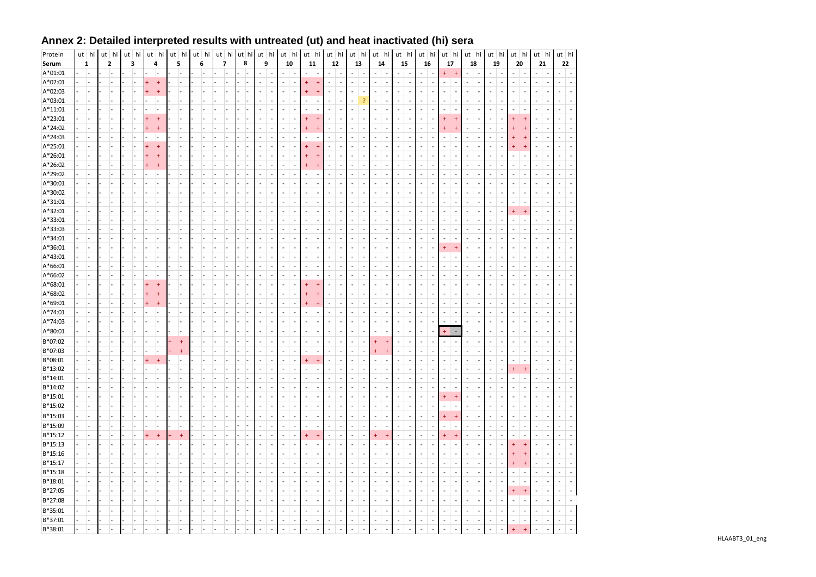| Protein   | ut hi                    | ut hi | ut hi          | $ut$ hi                    | ut hi          | ut hi | ut hi          | ut hi |                          | $ut$ hi                  | ut hi          |                          | ut hi                    |                            | ut hi                    |                          | $ut$ hi                  |                          | ut hi                    |                          | ut hi          |                          | $ut$ hi                                              |                          | $ut$ hi                  | ut hi                    |                          | ut hi                    |                          | $ut$ hi                  |                          | ut hi                    |                          | ut hi          |                          |
|-----------|--------------------------|-------|----------------|----------------------------|----------------|-------|----------------|-------|--------------------------|--------------------------|----------------|--------------------------|--------------------------|----------------------------|--------------------------|--------------------------|--------------------------|--------------------------|--------------------------|--------------------------|----------------|--------------------------|------------------------------------------------------|--------------------------|--------------------------|--------------------------|--------------------------|--------------------------|--------------------------|--------------------------|--------------------------|--------------------------|--------------------------|----------------|--------------------------|
| Serum     | 1                        | 2     | 3              | 4                          | 5              | 6     | 7              | 8     |                          | 9                        | 10             |                          | 11                       |                            | $12\,$                   |                          | 13                       |                          | 14                       |                          | 15             |                          | 16                                                   |                          | 17                       |                          | 18                       | 19                       |                          | 20                       |                          | 21                       |                          | 22             |                          |
| A*01:01   | ı.                       |       |                | ı.                         |                | ı.    |                |       | $\overline{\phantom{a}}$ | $\overline{\phantom{a}}$ | ٠              | $\overline{\phantom{a}}$ | $\overline{a}$           | $\overline{\phantom{a}}$   | $\overline{\phantom{a}}$ | $\overline{\phantom{a}}$ | $\overline{\phantom{a}}$ | $\overline{a}$           | $\overline{\phantom{a}}$ | $\overline{\phantom{a}}$ | L.             | $\overline{\phantom{a}}$ | $\overline{\phantom{a}}$<br>$\overline{a}$           | $\ddot{}$                | $\ddot{\phantom{1}}$     | $\overline{\phantom{a}}$ | $\overline{a}$           | $\overline{\phantom{a}}$ | $\overline{a}$           |                          | $\overline{\phantom{0}}$ | ٠                        |                          |                |                          |
| A*02:01   |                          |       |                | $\ddot{}$                  |                |       |                |       |                          |                          |                |                          | $\ddot{}$                | $\overline{1}$             | $\sim$                   | ÷,                       |                          |                          |                          |                          |                | L,                       | Ĭ.                                                   |                          |                          | L,                       |                          | $\overline{\phantom{a}}$ |                          |                          |                          |                          | $\overline{\phantom{a}}$ |                |                          |
| A*02:03   |                          |       |                | 4                          |                |       |                |       |                          | $\overline{\phantom{a}}$ |                |                          |                          | $\overline{\phantom{a}^+}$ | $\overline{\phantom{a}}$ | $\overline{a}$           | $\overline{a}$           | $\overline{a}$           | L,                       |                          |                | ÷.                       | $\overline{\phantom{a}}$<br>L.                       | $\overline{a}$           | $\overline{\phantom{a}}$ | $\overline{a}$           | J.                       | $\overline{a}$           | $\overline{a}$           |                          | $\overline{a}$           | ٠                        | $\overline{a}$           |                |                          |
| A*03:01   |                          |       |                | $\overline{a}$             |                |       |                |       |                          |                          |                |                          | $\overline{a}$           |                            | L,                       | J.                       |                          | p                        |                          |                          |                | Ĭ.                       |                                                      |                          |                          | $\overline{a}$           |                          | L,                       |                          |                          |                          |                          |                          |                |                          |
| A*11:01   | L.                       |       | L.             | $\overline{a}$             | Ŀ.             | ı.    | L,             |       |                          | ÷                        | ÷              | $\sim$                   | $\overline{a}$           | $\overline{a}$             | $\sim$                   | $\overline{a}$           | $\overline{\phantom{a}}$ | $\overline{a}$           | ÷,                       |                          |                | ÷,                       | <b>College</b><br>$\overline{a}$                     | ÷                        |                          | ÷,                       | J.                       | $\overline{\phantom{a}}$ | $\overline{a}$           |                          |                          |                          | $\overline{\phantom{a}}$ | $\overline{a}$ |                          |
| A*23:01   | L.                       |       |                | 4                          |                |       |                |       |                          |                          | ÷              |                          |                          |                            | $\overline{a}$           | ÷,                       |                          | L.                       | $\overline{a}$           |                          |                | ÷.                       | $\overline{a}$                                       |                          |                          | $\overline{a}$           | J.                       | $\overline{\phantom{a}}$ | $\overline{a}$           |                          |                          |                          |                          |                |                          |
| A*24:02   | $\overline{a}$           |       |                | 4                          |                | ı.    |                |       |                          |                          |                |                          |                          |                            | $\sim$                   | $\overline{a}$           | $\overline{\phantom{a}}$ | $\overline{\phantom{a}}$ | ä,                       | $\overline{\phantom{a}}$ |                | $\overline{a}$           | $\overline{\phantom{a}}$                             |                          |                          | $\overline{a}$           | $\overline{a}$           | $\overline{\phantom{a}}$ | $\overline{\phantom{a}}$ |                          |                          |                          | $\overline{\phantom{a}}$ | $\overline{a}$ |                          |
| A*24:03   | $\overline{a}$           |       |                |                            |                |       |                |       |                          | L,                       |                |                          |                          |                            | L,                       | ÷,                       | $\overline{\phantom{a}}$ | L,                       | $\overline{a}$           | $\overline{a}$           | $\overline{a}$ | ÷,                       | $\overline{a}$                                       |                          |                          | L,                       | Ĭ.                       | $\overline{a}$           | L,                       |                          |                          | Ĭ.                       |                          |                |                          |
| A*25:01   | L,                       |       |                | $\overline{1}$             |                |       |                |       |                          |                          |                |                          |                          |                            | $\overline{a}$           | Ĩ.                       |                          |                          |                          |                          |                |                          |                                                      |                          |                          | L.                       |                          | $\overline{a}$           |                          |                          |                          |                          |                          |                |                          |
| A*26:01   | $\overline{a}$           |       |                | 4                          |                |       |                |       |                          | ÷.                       |                |                          |                          |                            | $\sim$                   | $\overline{a}$           | $\overline{\phantom{a}}$ | $\overline{a}$           | L,                       |                          |                | ÷,                       | J.<br>$\overline{a}$                                 |                          |                          | ÷,                       | ÷,                       | $\overline{\phantom{a}}$ | ٠                        |                          |                          |                          | $\overline{a}$           |                |                          |
| A*26:02   | L.                       |       |                | $\overline{\phantom{a}^+}$ |                |       |                |       |                          |                          |                |                          |                          |                            | L,                       | Ĭ.                       |                          |                          |                          |                          |                |                          |                                                      |                          |                          |                          |                          |                          |                          |                          |                          |                          |                          |                |                          |
| A*29:02   | ı.                       |       |                | L,                         |                | l.    |                |       |                          | L.                       |                |                          |                          |                            | $\sim$                   | $\overline{a}$           | $\overline{\phantom{a}}$ | $\overline{a}$           | L,                       |                          |                | ÷,                       | $\overline{a}$<br>J.                                 | $\overline{a}$           |                          | ÷,                       | J.                       | $\overline{\phantom{a}}$ | ÷,                       |                          | $\overline{a}$           |                          | $\overline{a}$           | $\overline{a}$ |                          |
| A*30:01   | $\overline{a}$           |       | $\overline{a}$ | L.                         |                | L.    |                |       | ÷.                       |                          | $\overline{a}$ |                          | $\overline{a}$           | $\overline{\phantom{a}}$   | $\sim$                   | ÷,                       | $\overline{a}$           | $\sim$                   | L,                       | $\overline{\phantom{a}}$ | ÷.             | ÷,                       | $\overline{\phantom{a}}$<br>J.                       | $\overline{a}$           | $\overline{\phantom{a}}$ | $\overline{a}$           | $\overline{\phantom{a}}$ | $\overline{\phantom{a}}$ | $\overline{a}$           |                          | $\overline{\phantom{a}}$ | L.                       | $\overline{\phantom{a}}$ |                |                          |
| A*30:02   | $\overline{a}$           |       |                | $\overline{a}$             |                |       |                |       |                          |                          |                |                          |                          | $\overline{\phantom{0}}$   | $\overline{a}$           | $\overline{a}$           |                          |                          |                          |                          |                | $\overline{a}$           |                                                      |                          |                          | $\overline{a}$           | $\overline{a}$           | $\overline{\phantom{a}}$ | ٠                        |                          |                          |                          |                          |                |                          |
| A*31:01   | $\overline{a}$           |       |                | $\overline{a}$             |                |       |                |       |                          |                          |                |                          | L.                       | $\overline{a}$             | ÷.                       | Ĭ.                       | $\overline{a}$           | L,                       | L,                       |                          | L.             | $\overline{a}$           | $\overline{a}$                                       | ÷                        | $\overline{\phantom{a}}$ | L,                       | Ĭ.                       | L,                       | Ĭ.                       |                          | $\overline{a}$           |                          |                          |                |                          |
| A*32:01   | L.                       |       |                |                            |                |       |                |       |                          |                          |                |                          |                          |                            | L.                       | J,                       |                          |                          |                          |                          |                |                          |                                                      |                          |                          | L,                       |                          | $\overline{a}$           |                          |                          |                          |                          |                          |                |                          |
| A*33:01   | $\overline{a}$           |       | $\overline{a}$ | L,                         |                |       |                |       |                          |                          |                |                          | $\overline{a}$           |                            | L,                       | $\overline{a}$           | $\overline{\phantom{a}}$ | ÷,                       | L,                       |                          |                | $\overline{a}$           |                                                      |                          |                          | L,                       | ÷,                       | $\overline{\phantom{a}}$ |                          |                          |                          |                          |                          |                |                          |
| A*33:03   | $\overline{a}$           |       | $\overline{a}$ | $\overline{a}$             |                |       |                |       |                          |                          |                |                          |                          |                            | L.                       | Ĭ.                       |                          |                          |                          |                          |                |                          |                                                      |                          |                          | $\overline{a}$           | J.                       | $\overline{a}$           |                          |                          |                          |                          |                          |                |                          |
| A*34:01   | ı.                       |       | Ξ.             | l.                         |                | ı.    |                |       |                          |                          |                | $\overline{\phantom{a}}$ | ÷,                       | $\overline{a}$             | $\sim$                   | $\overline{a}$           | $\overline{\phantom{a}}$ | $\overline{a}$           | L,                       |                          |                | $\overline{\phantom{a}}$ | $\overline{\phantom{a}}$<br>$\overline{\phantom{a}}$ | $\overline{\phantom{a}}$ | $\overline{\phantom{a}}$ | $\overline{a}$           | ÷,                       | $\overline{\phantom{a}}$ | $\overline{a}$           |                          | $\overline{a}$           |                          | $\overline{\phantom{a}}$ | $\overline{a}$ |                          |
| A*36:01   | $\overline{a}$           |       |                | $\overline{a}$             |                |       |                |       | ٠                        |                          |                |                          | $\overline{a}$           | $\overline{\phantom{a}}$   | $\overline{a}$           | $\overline{a}$           | $\overline{\phantom{a}}$ | ÷,                       | $\overline{a}$           | $\overline{\phantom{a}}$ |                | ÷,                       | $\overline{a}$<br>Ĭ.                                 | $\ddot{}$                | $\overline{+}$           | $\overline{a}$           | $\overline{a}$           | $\overline{a}$           | $\overline{a}$           |                          |                          | L,                       | $\overline{\phantom{a}}$ |                |                          |
| $A*43:01$ | $\overline{a}$           |       |                |                            |                |       |                |       |                          |                          |                |                          |                          |                            |                          | Ĭ.                       |                          |                          |                          |                          |                | ÷,                       |                                                      |                          |                          | L,                       | ÷,                       | $\overline{a}$           |                          |                          |                          |                          |                          |                |                          |
| A*66:01   | $\overline{\phantom{a}}$ |       |                | L.                         |                |       |                |       |                          |                          |                |                          | L.                       | $\overline{a}$             | $\overline{\phantom{a}}$ | $\overline{\phantom{a}}$ | $\overline{\phantom{a}}$ | $\overline{a}$           | L,                       |                          |                | ÷.                       | $\overline{a}$<br>٠                                  | $\overline{a}$           | $\overline{\phantom{a}}$ | $\overline{a}$           | $\overline{\phantom{a}}$ | $\overline{a}$           | $\overline{a}$           |                          | $\overline{a}$           | ٠                        | $\overline{a}$           |                |                          |
| A*66:02   | L.                       |       |                | L,                         |                |       |                |       |                          |                          |                |                          |                          |                            | $\overline{a}$           | J,                       |                          |                          |                          |                          |                |                          |                                                      |                          |                          | L,                       |                          | $\overline{a}$           |                          |                          |                          |                          |                          |                |                          |
| A*68:01   | $\overline{a}$           |       |                | $\ddot{}$                  |                |       |                |       |                          |                          |                |                          |                          | $\overline{ }$             | $\sim$                   | Ĭ.                       | $\overline{\phantom{a}}$ |                          | L,                       |                          |                | ÷,                       |                                                      |                          |                          | $\overline{a}$           | ÷,                       | $\overline{a}$           |                          |                          |                          |                          |                          |                |                          |
| A*68:02   | L.                       |       |                |                            |                | ı.    | L.             |       |                          |                          | ÷              |                          |                          |                            | $\overline{a}$           | ÷,                       | $\overline{a}$           | $\overline{a}$           | ÷.                       |                          | L.             | ÷.                       | $\overline{a}$<br>J.                                 | $\overline{a}$           | $\overline{\phantom{a}}$ | $\overline{a}$           | $\overline{\phantom{a}}$ | $\overline{\phantom{a}}$ | ÷,                       |                          |                          | J.                       | $\overline{a}$           |                |                          |
| A*69:01   | ı.                       |       |                | $\overline{\phantom{a}^+}$ |                | Ξ.    |                |       |                          |                          |                |                          |                          |                            | $\overline{a}$           | $\overline{a}$           | $\overline{\phantom{a}}$ | $\overline{\phantom{a}}$ |                          |                          |                | $\overline{\phantom{a}}$ | ÷,                                                   | $\overline{\phantom{a}}$ | $\overline{\phantom{a}}$ | $\overline{\phantom{0}}$ | $\overline{a}$           | $\overline{\phantom{a}}$ | $\overline{a}$           |                          |                          |                          | $\overline{\phantom{a}}$ |                |                          |
| A*74:01   | $\overline{\phantom{a}}$ |       |                | L                          |                |       |                |       |                          |                          |                |                          |                          |                            | L,                       | L,                       |                          | L,                       |                          |                          |                | ÷,                       | $\sim$<br>Ĭ.                                         | ÷,                       | $\overline{\phantom{a}}$ | ÷,                       | ÷,                       | $\overline{a}$           | L,                       |                          | $\overline{a}$           |                          |                          |                |                          |
| A*74:03   | $\overline{a}$           |       |                | $\overline{a}$             |                |       |                |       |                          |                          |                |                          |                          |                            | L.                       | Ĭ.                       |                          |                          |                          |                          |                | Ĭ.                       | Ĭ.                                                   |                          |                          | L                        |                          | $\overline{a}$           |                          |                          |                          |                          |                          |                |                          |
| A*80:01   | $\overline{a}$           |       |                | $\overline{a}$             |                |       |                |       |                          |                          |                |                          |                          |                            | L,                       | $\overline{\phantom{a}}$ |                          | ÷,                       |                          |                          |                | ÷,                       | $\overline{\phantom{a}}$<br>Ĭ.                       |                          |                          |                          | ÷,                       | $\overline{a}$           | $\overline{a}$           |                          |                          |                          | $\overline{\phantom{a}}$ |                |                          |
| B*07:02   | ı.                       |       |                | $\overline{a}$             | $\overline{1}$ |       |                |       |                          |                          |                |                          | ÷,                       | $\overline{\phantom{0}}$   | $\overline{a}$           | $\overline{\phantom{a}}$ | $\overline{\phantom{a}}$ |                          |                          |                          |                | $\overline{a}$           | $\overline{a}$                                       | $\overline{\phantom{a}}$ | $\overline{\phantom{a}}$ | $\overline{a}$           | $\overline{a}$           | $\overline{\phantom{a}}$ | $\overline{a}$           |                          |                          |                          | $\overline{\phantom{a}}$ |                |                          |
| B*07:03   | L.                       |       |                | L                          | $+$            |       |                |       |                          |                          | $\overline{a}$ |                          | $\overline{a}$           | $\overline{a}$             | L,                       | L,                       | $\overline{\phantom{a}}$ |                          |                          | $\overline{1}$           |                | ÷,                       | $\overline{\phantom{a}}$                             | $\overline{a}$           | $\overline{\phantom{a}}$ | $\overline{a}$           | ÷,                       | $\overline{a}$           | $\overline{a}$           |                          | $\overline{a}$           |                          |                          |                |                          |
| B*08:01   |                          |       |                | Ŧ                          |                |       |                |       |                          |                          |                |                          | $\ddot{}$                | $\overline{\phantom{a}^+}$ | $\overline{a}$           | $\overline{a}$           | $\overline{\phantom{a}}$ | ÷,                       |                          |                          |                | ÷,                       | $\overline{\phantom{a}}$                             | L.                       |                          | $\overline{a}$           |                          | $\overline{\phantom{a}}$ | $\overline{a}$           |                          |                          |                          |                          |                |                          |
| B*13:02   | $\overline{a}$           |       | $\overline{a}$ | L.                         | ı.             | Ŀ.    |                |       |                          |                          |                |                          | $\overline{a}$           |                            | $\overline{a}$           | ÷,                       | $\overline{\phantom{a}}$ | $\overline{\phantom{a}}$ | $\overline{a}$           |                          |                | $\overline{a}$           |                                                      | L.                       |                          | ÷,                       | ٠                        | $\overline{\phantom{a}}$ | $\overline{\phantom{a}}$ | 4                        | 4                        |                          |                          |                |                          |
| B*14:01   | $\overline{a}$           |       |                | L                          |                |       |                |       |                          |                          |                |                          |                          |                            |                          |                          |                          |                          |                          |                          |                |                          |                                                      |                          |                          |                          |                          |                          |                          |                          |                          |                          |                          |                |                          |
| $B*14:02$ | ı.                       |       | ı.             | ı.                         | ı.             | ı.    | $\overline{a}$ |       |                          | $\overline{\phantom{a}}$ |                | $\overline{\phantom{a}}$ | $\overline{\phantom{a}}$ | $\overline{\phantom{a}}$   | $\overline{\phantom{a}}$ | $\overline{\phantom{a}}$ | $\overline{a}$           | $\overline{a}$           | ÷.                       | $\overline{a}$           |                | $\overline{\phantom{a}}$ | $\overline{a}$<br>$\overline{a}$                     | $\overline{a}$           | $\overline{\phantom{a}}$ | $\overline{\phantom{a}}$ | ٠                        | $\overline{\phantom{a}}$ | $\overline{a}$           |                          | $\overline{a}$           |                          | $\overline{a}$           | $\overline{a}$ | $\overline{a}$           |
| $B*15:01$ | $\overline{a}$           | Ŀ.    | ı.             | L.                         |                | ı.    | L.             |       | $\overline{a}$           | $\overline{\phantom{a}}$ | $\overline{a}$ | $\overline{\phantom{a}}$ | $\overline{\phantom{a}}$ | $\overline{\phantom{a}}$   | $\sim$                   | $\overline{\phantom{a}}$ | $\overline{\phantom{a}}$ | $\sim$                   | L,                       | $\overline{\phantom{a}}$ | ÷,             | $\overline{\phantom{a}}$ | $\overline{\phantom{a}}$<br>$\overline{a}$           | $+$                      | $\overline{+}$           | ÷                        | $\overline{\phantom{a}}$ | $\overline{\phantom{a}}$ | $\overline{\phantom{a}}$ | $\overline{\phantom{a}}$ | $\overline{\phantom{a}}$ | ٠                        | $\overline{\phantom{a}}$ |                | Ĭ.                       |
| B*15:02   | $\overline{a}$           |       |                | L,                         |                |       |                |       |                          |                          |                |                          | $\overline{a}$           |                            | $\overline{a}$           | $\overline{a}$           | $\overline{\phantom{a}}$ | $\qquad \qquad$          |                          |                          |                | $\overline{a}$           |                                                      |                          | $\overline{\phantom{a}}$ | $\overline{\phantom{a}}$ | $\overline{a}$           | $\overline{\phantom{a}}$ | $\overline{a}$           |                          |                          |                          | $\overline{\phantom{a}}$ |                |                          |
| B*15:03   | $\overline{a}$           |       | Ξ.             | $\overline{a}$             |                | Ξ.    |                |       | $\overline{a}$           | $\overline{\phantom{a}}$ | $\overline{a}$ | $\overline{\phantom{a}}$ | $\frac{1}{2}$            | $\overline{\phantom{a}}$   | ÷,                       | $\overline{\phantom{a}}$ | $\overline{a}$           | $\overline{\phantom{a}}$ | L,                       | $\overline{\phantom{a}}$ | $\overline{a}$ | ÷,                       | $\overline{\phantom{a}}$<br>$\overline{\phantom{a}}$ | $+$                      | $\overline{+}$           | $\overline{\phantom{a}}$ | $\overline{a}$           | $\overline{\phantom{a}}$ | $\overline{a}$           | $\overline{\phantom{a}}$ | $\overline{\phantom{a}}$ | $\overline{a}$           | $\overline{\phantom{a}}$ | $\overline{a}$ |                          |
| B*15:09   | L.                       |       | L.             | $\overline{a}$             |                | ı.    |                |       |                          | $\overline{\phantom{a}}$ |                | $\overline{\phantom{a}}$ | $\overline{a}$           |                            | $\overline{a}$           | ÷,                       | $\overline{a}$           | $\overline{a}$           | $\overline{a}$           |                          | $\overline{a}$ | ÷,                       | $\overline{a}$<br>$\overline{a}$                     | $\overline{a}$           | $\overline{a}$           | $\sim$                   | J.                       | $\overline{\phantom{a}}$ | ÷,                       |                          | $\overline{\phantom{a}}$ | ٠                        | $\overline{a}$           | $\overline{a}$ | $\overline{\phantom{a}}$ |
| $B*15:12$ | $\overline{a}$           |       | ı.             | $^{+}$                     | $^{+}$         | ı.    |                |       | ٠                        | $\overline{\phantom{a}}$ | $\overline{a}$ | $\overline{\phantom{a}}$ | $\ddot{}$                | $\overline{1}$             | $\overline{\phantom{a}}$ | $\overline{\phantom{a}}$ | $\overline{\phantom{a}}$ | $\overline{\phantom{a}}$ | 4                        | $\overline{ }$           | L.             | ÷,                       | $\overline{\phantom{a}}$<br>$\overline{a}$           | $+$                      | $\overline{+}$           | $\overline{\phantom{a}}$ | $\overline{\phantom{a}}$ | $\overline{\phantom{a}}$ | $\overline{a}$           |                          | $\overline{\phantom{a}}$ | ٠                        | $\overline{\phantom{a}}$ | $\overline{a}$ | $\overline{a}$           |
| $B*15:13$ | ÷,                       |       |                |                            |                |       |                |       |                          |                          |                |                          |                          |                            | L,                       | Ĭ.                       |                          |                          |                          |                          |                | $\overline{a}$           |                                                      |                          |                          | L,                       |                          | $\overline{a}$           | ł,                       |                          |                          |                          |                          |                |                          |
| B*15:16   |                          |       |                | $\overline{a}$             |                |       |                |       |                          | L.                       |                | $\overline{\phantom{a}}$ | L.                       | $\overline{a}$             | $\overline{a}$           | ÷,                       | $\overline{a}$           | L.                       | L,                       | $\overline{a}$           | L.             | ÷.                       | $\overline{a}$<br>L.                                 | $\overline{a}$           | $\sim$                   | $\overline{a}$           | J.                       | $\overline{a}$           | $\overline{a}$           |                          |                          | J.                       | $\overline{a}$           |                |                          |
| $B*15:17$ |                          |       |                | $\overline{a}$             |                | Ŀ.    |                |       |                          |                          |                |                          | L,                       |                            | L,                       | Ĭ.                       | $\overline{\phantom{a}}$ |                          | L,                       |                          |                |                          |                                                      |                          |                          | ÷,                       | ٠                        | $\overline{\phantom{a}}$ | J.                       |                          |                          |                          |                          |                |                          |
| $B*15:18$ | L.                       |       | L.             | L,                         |                | L,    |                |       |                          |                          |                |                          | $\overline{a}$           |                            | ÷,                       | Ĭ.                       | $\overline{\phantom{a}}$ |                          | $\overline{a}$           |                          |                | L,                       |                                                      | L,                       |                          | ÷,                       |                          | $\overline{a}$           |                          |                          |                          |                          |                          |                |                          |
| $B*18:01$ | ı.                       |       | L.             | $\overline{a}$             |                | ı.    | ÷,             |       | $\overline{a}$           |                          | $\overline{a}$ | $\overline{\phantom{a}}$ | $\overline{\phantom{a}}$ | $\overline{\phantom{a}}$   | $\sim$                   | $\overline{\phantom{a}}$ | $\overline{\phantom{a}}$ | $\overline{a}$           | $\overline{\phantom{a}}$ | $\overline{\phantom{a}}$ | ÷,             | ÷,                       | $\overline{\phantom{a}}$<br>L,                       | $\overline{\phantom{a}}$ | $\overline{\phantom{a}}$ | $\overline{a}$           | $\overline{\phantom{a}}$ | $\overline{\phantom{a}}$ | $\overline{a}$           |                          | $\overline{\phantom{a}}$ | L,                       | $\overline{\phantom{a}}$ | $\overline{a}$ | $\overline{a}$           |
| B*27:05   | ı.                       |       | Ξ.             | L.                         |                | ı.    |                |       | ۰                        | $\overline{\phantom{a}}$ | ٠              | $\sim$                   | ÷,                       | $\overline{\phantom{a}}$   | $\sim$                   | $\overline{\phantom{a}}$ | $\overline{\phantom{a}}$ | $\sim$                   | L,                       | $\overline{\phantom{a}}$ | ٠              | $\overline{\phantom{a}}$ | $\overline{\phantom{a}}$<br>$\overline{\phantom{a}}$ | $\overline{a}$           | $\overline{\phantom{a}}$ | $\sim$                   | $\overline{\phantom{a}}$ | $\sim$                   | $\overline{\phantom{a}}$ | $\ddot{}$                | $\overline{1}$           | ٠                        | $\overline{\phantom{a}}$ | $\overline{a}$ | $\sim$                   |
| B*27:08   |                          |       |                | $\overline{a}$             |                |       |                |       |                          |                          |                |                          | $\overline{a}$           |                            | $\overline{a}$           | L,                       |                          | $\overline{a}$           | L,                       |                          |                | L,                       | $\overline{a}$<br>J.                                 | $\overline{a}$           | $\overline{a}$           | $\overline{a}$           | J.                       | $\overline{\phantom{a}}$ | ÷,                       |                          | $\overline{a}$           | L.                       |                          | $\overline{a}$ |                          |
| B*35:01   |                          |       | l.             | $\overline{a}$             |                |       |                |       |                          |                          |                | $\sim$                   | L,                       |                            | $\overline{a}$           | L,                       | $\overline{\phantom{a}}$ |                          | $\overline{a}$           |                          |                | ÷,                       | $\sim$                                               | ÷,                       |                          | ÷,                       | J.                       | $\overline{\phantom{a}}$ | L,                       |                          | L,                       |                          | ÷,                       |                |                          |
| B*37:01   | Ξ.                       | Ŀ.    | H.             | ı.                         | Ŀ.             | ı.    | ÷,             |       | $\sim$                   | $\overline{a}$           | $\overline{a}$ | $\overline{\phantom{a}}$ | $\overline{a}$           | $\overline{\phantom{a}}$   | $\sim$                   | $\overline{\phantom{a}}$ | $\overline{\phantom{a}}$ | $\sim$                   | $\overline{\phantom{a}}$ | $\overline{\phantom{a}}$ | $\overline{a}$ | $\overline{\phantom{a}}$ | $\overline{\phantom{a}}$<br>$\overline{a}$           | $\sim$                   | $\overline{\phantom{a}}$ | $\sim$                   | $\overline{\phantom{a}}$ | $\overline{\phantom{a}}$ | $\overline{\phantom{a}}$ | $\overline{\phantom{a}}$ | $\overline{a}$           | $\overline{\phantom{a}}$ | $\overline{\phantom{a}}$ | $\overline{a}$ | $\overline{\phantom{a}}$ |
| B*38:01   |                          |       |                |                            |                |       |                |       |                          |                          |                |                          | $\overline{a}$           |                            | $\overline{a}$           |                          |                          |                          |                          |                          |                | ÷,                       |                                                      |                          |                          | $\overline{a}$           |                          | $\overline{a}$           | L,                       | $\ddot{}$                | $\overline{4}$           | ÷.                       | $\overline{\phantom{a}}$ |                |                          |
|           |                          |       |                |                            |                |       |                |       |                          |                          |                |                          |                          |                            |                          |                          |                          |                          |                          |                          |                |                          |                                                      |                          |                          |                          |                          |                          |                          |                          |                          |                          |                          |                |                          |

## Annex 2: Detailed interpreted results with untreated (ut) and heat inactivated (hi) sera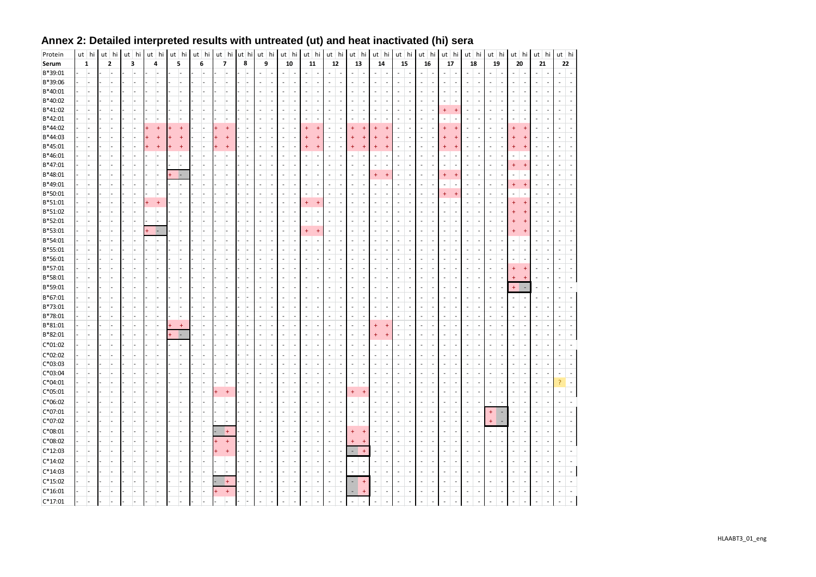| Protein            | $ut$ hi              | ut hi | ut hi          | $ut$ hi         | $ut$ hi |                | ut hi | ut hi          | ut hi | $ut$ hi                  |                          | $ut$ hi                  |                | $ut$ hi                     |                          | ut hi                    |                          | ut hi                          |                          |                          | $ut$ hi                  | $ut$ hi                          |                          | $ut$ hi                          |                          | $ut$ hi                  |                          | $ut$ hi                                                    |                          | ut hi                    | ut   hi        |                          | ut   hi                          |                | $ut$ hi                  |
|--------------------|----------------------|-------|----------------|-----------------|---------|----------------|-------|----------------|-------|--------------------------|--------------------------|--------------------------|----------------|-----------------------------|--------------------------|--------------------------|--------------------------|--------------------------------|--------------------------|--------------------------|--------------------------|----------------------------------|--------------------------|----------------------------------|--------------------------|--------------------------|--------------------------|------------------------------------------------------------|--------------------------|--------------------------|----------------|--------------------------|----------------------------------|----------------|--------------------------|
| Serum              | $\mathbf 1$          | 2     | 3              | 4               | 5       |                | 6     | $\overline{7}$ | 8     | 9                        |                          | 10                       |                | 11                          |                          | 12                       |                          | 13                             |                          |                          | 14                       | 15                               |                          | 16                               |                          | 17                       |                          | 18                                                         |                          | 19                       | 20             |                          | 21                               |                | 22                       |
| B*39:01            | L.                   |       | L              | $\overline{a}$  |         |                |       |                |       | $\overline{a}$           |                          | $\overline{a}$           | L,             | $\overline{a}$              | $\overline{a}$           | $\overline{a}$           | $\overline{\phantom{a}}$ | $\sim$                         | Ĭ.                       | $\overline{a}$           | ÷,                       |                                  | $\overline{a}$           | $\overline{a}$                   |                          | L.                       | ÷.                       | $\mathcal{L}_{\mathcal{A}}$<br>$\overline{\phantom{a}}$    | L.                       | $\overline{a}$           |                | $\overline{\phantom{a}}$ | $\overline{a}$                   |                | $\overline{a}$           |
| B*39:06            | $\overline{a}$       |       | ı.             | $\overline{a}$  |         | ı.             |       |                |       | $\overline{a}$           | $\overline{\phantom{a}}$ | $\overline{\phantom{a}}$ | $\overline{a}$ | $\overline{a}$              | ÷,                       | $\overline{a}$           | $\overline{\phantom{a}}$ | ÷,                             | Ĭ.                       | $\overline{\phantom{a}}$ | ÷,                       | $\overline{a}$                   | $\overline{\phantom{a}}$ | $\overline{a}$                   | $\overline{a}$           | ÷,                       | $\overline{a}$           | $\overline{\phantom{a}}$<br>÷,                             | $\overline{a}$           | $\overline{\phantom{a}}$ | L.             | $\overline{\phantom{a}}$ | $\overline{\phantom{a}}$         | Ĭ.             | $\overline{a}$           |
| B*40:01            |                      |       |                | L,              |         |                |       |                |       |                          |                          | $\overline{a}$           |                |                             |                          | $\overline{a}$           |                          | $\overline{\phantom{a}}$       | Ĭ.                       |                          |                          | $\overline{a}$                   |                          |                                  |                          | ÷,                       | J.                       | $\overline{\phantom{a}}$                                   |                          |                          |                |                          |                                  |                |                          |
| B*40:02            | L,                   |       | L.             | L,              |         |                |       |                |       | $\overline{a}$           | J.                       | $\sim$                   |                | $\overline{a}$              | $\overline{\phantom{a}}$ | $\overline{\phantom{a}}$ | $\overline{\phantom{a}}$ | $\overline{\phantom{a}}$       | $\overline{\phantom{a}}$ | $\overline{a}$           | ÷,                       | $\overline{\phantom{a}}$         | $\overline{\phantom{a}}$ | L,                               | $\overline{\phantom{a}}$ | ÷,                       | $\overline{a}$           | $\overline{\phantom{a}}$<br>L,                             | $\overline{\phantom{a}}$ |                          | ٠              | ÷,                       | $\sim$                           | L,             |                          |
| B*41:02            |                      |       | Ĭ.             | L,              |         |                |       |                |       |                          |                          |                          |                |                             | $\overline{\phantom{a}}$ | L,                       |                          | $\overline{\phantom{a}}$       | L,                       |                          | L,                       |                                  |                          |                                  |                          | $\ddot{}$                | ⊕                        | $\overline{\phantom{a}}$                                   |                          |                          |                | ÷,                       | $\overline{a}$                   |                |                          |
| B*42:01            |                      |       |                |                 |         |                |       |                |       |                          |                          | $\overline{a}$           |                |                             | $\overline{\phantom{a}}$ | $\overline{a}$           | $\overline{\phantom{a}}$ | $\overline{\phantom{a}}$       | ÷,                       |                          | ÷,                       | $\overline{a}$                   |                          |                                  |                          | L                        | $\overline{a}$           | $\overline{\phantom{a}}$<br>÷                              |                          |                          |                | $\overline{a}$           | $\overline{\phantom{a}}$         |                |                          |
| B*44:02            | ÷,                   |       |                | $+$             |         | $\overline{1}$ |       |                |       |                          |                          |                          |                | $\ddot{}$                   |                          | $\overline{a}$           |                          | $\ddot{}$                      | $\ddot{}$                |                          |                          |                                  |                          |                                  |                          | ŧ                        |                          | $\overline{a}$                                             |                          |                          |                |                          |                                  |                |                          |
| B*44:03            | ÷,                   |       | L.             |                 |         | $\overline{1}$ |       |                |       | L                        | J.                       | $\overline{a}$           |                |                             |                          | $\overline{\phantom{a}}$ |                          | $\ddot{}$                      | 4                        |                          |                          | $\overline{a}$                   |                          |                                  |                          |                          |                          | $\overline{\phantom{a}}$<br>÷,                             |                          |                          |                |                          | $\overline{a}$                   |                |                          |
| B*45:01            |                      |       |                | $\overline{1}$  |         | $\overline{1}$ |       |                |       |                          |                          |                          |                |                             |                          | L,                       |                          | $\ddot{}$                      | $\overline{1}$           |                          |                          |                                  |                          |                                  |                          | 4                        |                          | $\overline{\phantom{a}}$                                   |                          |                          |                |                          |                                  |                |                          |
| B*46:01            | $\overline{a}$       |       | Ĭ.             | $\overline{a}$  |         | Ŀ.             |       |                |       | L,                       | ÷,                       | $\sim$                   | Ĭ.             |                             | $\overline{a}$           | L,                       | ÷,                       | $\overline{a}$                 | $\frac{1}{2}$            |                          | $\overline{a}$           | $\overline{a}$                   | $\overline{a}$           | L,                               | $\overline{a}$           | ÷,                       | ÷,                       | $\overline{\phantom{a}}$<br>$\overline{a}$                 | L,                       | $\overline{\phantom{a}}$ |                | $\overline{a}$           | $\sim$                           | L,             | $\overline{a}$           |
| B*47:01            | ÷,                   |       |                | $\overline{a}$  |         |                |       |                |       |                          |                          |                          |                |                             | $\overline{\phantom{a}}$ | L,                       |                          | $\overline{a}$                 | Ĭ.                       |                          |                          |                                  |                          |                                  |                          | L,                       | $\overline{a}$           | $\overline{\phantom{a}}$                                   |                          |                          |                | $\overline{+}$           |                                  |                |                          |
| B*48:01            | L.                   |       | ı.             | $\overline{a}$  |         | le.            |       |                |       | $\overline{a}$           |                          | $\sim$                   |                | ÷                           | $\sim$                   | $\overline{a}$           | $\overline{\phantom{a}}$ | $\overline{\phantom{a}}$       | $\overline{\phantom{a}}$ | $\ddot{}$                | $\overline{4}$           | $\overline{\phantom{a}}$         | $\overline{a}$           | ÷,                               | $\overline{\phantom{a}}$ | $\ddot{}$                | $\ddot{+}$               | $\overline{\phantom{a}}$<br>L,                             | $\overline{a}$           |                          | $\overline{a}$ | $\overline{\phantom{a}}$ | $\overline{a}$                   | ٠              | $\overline{a}$           |
| B*49:01            | L.                   |       | ı.             | L,              |         | ı.             |       |                |       | $\overline{a}$           | $\overline{\phantom{a}}$ | $\overline{a}$           | $\overline{a}$ | ÷                           | $\sim$                   | $\overline{a}$           | $\overline{\phantom{a}}$ | $\sim$                         | $\overline{a}$           | $\overline{a}$           | ÷.                       | $\overline{a}$                   | $\overline{\phantom{a}}$ | ÷,                               | $\overline{\phantom{a}}$ | L.                       | ÷,                       | $\sim$<br>L.                                               | ÷,                       | $\overline{\phantom{a}}$ |                |                          | $\sim$                           | ÷,             | $\overline{a}$           |
| B*50:01            | L.                   |       | ı.<br>ı.       | $\overline{a}$  |         | ı.             |       |                |       | $\overline{a}$           | J.                       | $\sim$<br>$\sim$         | J.             | $\overline{a}$              | $\sim$                   | $\overline{a}$           | $\overline{\phantom{a}}$ | $\overline{\phantom{a}}$       | $\overline{a}$           | $\overline{a}$           | ÷,                       | $\overline{a}$<br>$\overline{a}$ | $\overline{\phantom{a}}$ | $\overline{a}$<br>$\overline{a}$ | $\overline{\phantom{a}}$ | $\ddot{}$<br>L.          | $\overline{+}$<br>L,     | $\sim$<br>L.                                               | L.<br>L.                 |                          |                | ÷,                       | $\overline{a}$<br>$\overline{a}$ | J.             | $\overline{a}$           |
| B*51:01            | ÷,<br>$\overline{a}$ |       |                | $\ddot{}$<br>Ĭ. |         | ı.             |       |                |       |                          |                          | $\overline{a}$           |                | $\ddot{}$<br>$\overline{a}$ |                          | $\overline{a}$<br>L,     |                          | $\overline{\phantom{a}}$<br>÷, | $\overline{a}$<br>L,     |                          | ÷,                       |                                  |                          |                                  | $\overline{a}$           | ÷,                       | J.                       | $\overline{\phantom{a}}$<br>L,<br>$\overline{\phantom{a}}$ |                          |                          |                |                          |                                  | $\overline{a}$ |                          |
| B*51:02<br>B*52:01 | l.                   |       | Ĭ.             | $\overline{a}$  |         | L.             |       |                |       |                          |                          | $\overline{\phantom{a}}$ |                | $\overline{a}$              | $\overline{\phantom{a}}$ | $\overline{a}$           |                          | $\overline{\phantom{a}}$       | Ĭ.                       |                          |                          | $\overline{\phantom{a}}$         |                          | L,                               |                          | ÷,                       | ÷,                       | $\overline{\phantom{a}}$                                   |                          |                          |                |                          | $\overline{a}$                   |                |                          |
| B*53:01            |                      |       | L,             | L               |         |                |       |                |       |                          |                          | $\overline{a}$           |                | $+$                         | $\overline{+}$           | $\overline{a}$           |                          | $\overline{\phantom{a}}$       | Ĭ.                       |                          |                          | $\overline{a}$                   |                          |                                  |                          |                          | $\overline{a}$           | $\sim$                                                     |                          |                          |                |                          |                                  |                |                          |
| B*54:01            | ÷,                   |       | $\overline{a}$ | ÷,              |         |                |       |                |       |                          | J.                       | $\overline{a}$           |                |                             |                          | $\overline{a}$           |                          | $\overline{\phantom{a}}$       | Ĭ.                       | $\overline{a}$           | $\overline{\phantom{a}}$ | $\overline{a}$                   |                          | ÷                                |                          | L.                       | ÷,                       | $\sim$<br>٠                                                | ÷.                       |                          |                | $\overline{\phantom{a}}$ | $\overline{a}$                   | ٠              |                          |
| B*55:01            | L.                   |       |                | J.              |         |                |       |                |       |                          |                          |                          |                |                             |                          | $\overline{a}$           |                          | L,                             |                          |                          |                          |                                  |                          |                                  |                          | L.                       |                          | $\sim$                                                     |                          |                          |                | ÷,                       |                                  |                |                          |
| B*56:01            |                      |       | J.             | L,              |         |                |       |                |       | ÷                        | J.                       | $\overline{a}$           |                | ÷                           | $\sim$                   | $\overline{a}$           | $\overline{\phantom{a}}$ | $\sim$                         | Ĭ.                       | $\overline{a}$           | ÷,                       | ÷.                               | $\overline{\phantom{a}}$ | J.                               |                          | $\overline{a}$           | L,                       | $\overline{\phantom{a}}$<br>L,                             |                          | $\overline{\phantom{a}}$ | ä,             | $\sim$                   | $\overline{a}$                   | J.             | ÷                        |
| B*57:01            |                      |       | L,             | Ĭ.              |         |                |       |                |       |                          |                          | $\overline{\phantom{a}}$ |                |                             | $\overline{a}$           | L,                       |                          | $\overline{\phantom{a}}$       | Ĭ.                       |                          | L,                       | ÷                                |                          |                                  |                          | ÷,                       | ÷,                       | $\sim$<br>L,                                               |                          |                          |                |                          | $\overline{a}$                   |                |                          |
| B*58:01            |                      |       | $\overline{a}$ | $\overline{a}$  |         |                |       |                |       | $\overline{a}$           |                          | $\overline{\phantom{a}}$ |                |                             | $\overline{a}$           | $\overline{a}$           |                          | $\overline{\phantom{m}}$       | $\overline{\phantom{a}}$ | $\overline{a}$           | $\overline{a}$           | $\overline{a}$                   |                          |                                  |                          | L,                       | ÷,                       | $\overline{\phantom{a}}$<br>$\overline{a}$                 | $\frac{1}{2}$            |                          |                | $\overline{+}$           | $\overline{a}$                   |                |                          |
| B*59:01            |                      |       | L,             | L,              |         |                |       |                |       |                          |                          | $\overline{\phantom{a}}$ |                | $\overline{a}$              | $\overline{\phantom{a}}$ | $\overline{\phantom{a}}$ |                          | $\overline{\phantom{a}}$       | $\overline{\phantom{a}}$ | $\overline{\phantom{a}}$ | $\overline{a}$           | $\overline{\phantom{a}}$         | $\overline{\phantom{a}}$ | L,                               | $\overline{\phantom{a}}$ | ÷,                       | ÷,                       | $\sim$<br>L,                                               | $\overline{\phantom{a}}$ |                          | $\ddot{}$      | ÷.                       | $\overline{a}$                   | $\overline{a}$ | $\overline{\phantom{a}}$ |
| B*67:01            |                      |       |                |                 |         |                |       |                |       |                          |                          |                          |                |                             |                          |                          |                          | L,                             |                          |                          |                          |                                  |                          |                                  |                          |                          |                          | $\sim$                                                     |                          |                          | ÷,             | ÷,                       |                                  |                |                          |
| B*73:01            |                      |       | L.             | $\overline{a}$  |         | ı.             |       |                |       | L                        |                          | $\overline{a}$           |                |                             |                          | $\overline{a}$           |                          | $\sim$                         | $\overline{a}$           | $\overline{a}$           | ÷,                       | $\overline{a}$                   |                          | L,                               |                          | L.                       | ÷.                       | $\mathcal{L}_{\mathcal{A}}$<br>L,                          | L.                       |                          | ٠              | $\overline{a}$           | $\sim$                           |                |                          |
| B*78:01            |                      |       | L,             | $\overline{a}$  |         |                |       |                |       |                          |                          | $\overline{a}$           |                |                             |                          | $\overline{a}$           |                          | $\overline{\phantom{a}}$       | Ĭ.                       |                          |                          | $\overline{a}$                   |                          |                                  |                          | L.                       | ÷.                       | $\mathbf{r}$<br>٠                                          |                          |                          |                | $\overline{\phantom{a}}$ | $\overline{a}$                   |                |                          |
| B*81:01            | L.                   | ı.    | ı.             | $\overline{a}$  |         | $+$            |       | ÷.             |       | $\overline{a}$           | $\overline{\phantom{a}}$ | $\sim$                   | $\overline{a}$ | $\overline{a}$              | $\overline{\phantom{a}}$ | L,                       | $\overline{\phantom{a}}$ | $\sim$                         | $\overline{\phantom{a}}$ | $\ddotmark$              | $\overline{+}$           | $\overline{\phantom{a}}$         | $\overline{a}$           | $\overline{a}$                   | $\overline{\phantom{a}}$ | L.                       | ÷,                       | $\mathcal{L}_{\mathcal{A}}$<br>$\overline{a}$              | $\overline{\phantom{a}}$ | $\overline{\phantom{a}}$ | ٠              | $\overline{\phantom{a}}$ | $\sim$                           | L,             |                          |
| B*82:01            |                      |       |                | L,              |         |                |       |                |       |                          |                          |                          |                |                             |                          | $\overline{a}$           |                          | $\overline{\phantom{a}}$       |                          |                          |                          |                                  |                          |                                  |                          | L.                       |                          | $\overline{\phantom{a}}$                                   |                          |                          |                |                          |                                  |                |                          |
| $C*01:02$          |                      |       | ı.             | L,              |         | ı.             |       |                |       | $\overline{a}$           | ÷,                       | $\overline{\phantom{a}}$ |                | $\overline{a}$              | $\overline{\phantom{a}}$ | $\overline{\phantom{a}}$ | ٠                        | L,                             | $\overline{\phantom{a}}$ | $\overline{a}$           | ÷,                       | $\overline{\phantom{a}}$         | $\overline{\phantom{a}}$ | ÷,                               | $\overline{\phantom{a}}$ | L.                       | ÷,                       | $\mathbf{r}$<br>L,                                         | $\overline{\phantom{a}}$ |                          | $\overline{a}$ | $\overline{\phantom{a}}$ | $\overline{a}$                   | L,             | $\overline{a}$           |
| $C*02:02$          |                      |       |                |                 |         |                |       |                |       |                          |                          |                          |                |                             |                          | L,                       |                          | ÷,                             | L,                       |                          | L,                       |                                  |                          | L,                               |                          | L,                       | ÷,                       | ÷,                                                         |                          |                          |                | $\overline{a}$           | $\overline{a}$                   |                |                          |
| $C*03:03$          |                      |       |                | $\overline{a}$  |         |                |       |                |       |                          |                          |                          |                |                             |                          | L,                       |                          | L,                             | Ĭ.                       |                          |                          |                                  |                          |                                  |                          | L,                       | ÷,                       | $\sim$                                                     |                          |                          |                | ٠                        |                                  |                |                          |
| $C*03:04$          | ÷,                   |       | L,             | $\overline{a}$  |         |                |       |                |       |                          |                          | $\overline{\phantom{a}}$ |                |                             |                          | L,                       |                          | $\overline{\phantom{a}}$       | Ĭ.                       |                          | L,                       | $\overline{\phantom{a}}$         |                          |                                  |                          | L.                       | ÷,                       | $\overline{\phantom{a}}$<br>L,                             | ÷,                       |                          |                | $\overline{\phantom{a}}$ | $\overline{a}$                   |                |                          |
| $C*04:01$          | $\overline{a}$       |       | L.             | $\overline{a}$  |         |                |       |                |       |                          |                          |                          |                |                             |                          | $\overline{a}$           |                          | $\overline{\phantom{a}}$       | Ĭ.                       |                          |                          |                                  |                          |                                  |                          | L.                       |                          | $\overline{\phantom{a}}$                                   |                          |                          |                |                          |                                  |                |                          |
| $C*05:01$          | L.                   |       | ı.             | $\overline{a}$  |         | ı.             |       | $+$            |       | $\overline{\phantom{a}}$ | $\overline{\phantom{a}}$ | $\sim$                   | $\overline{a}$ | $\overline{a}$              | $\overline{\phantom{a}}$ | $\overline{a}$           | $\overline{\phantom{a}}$ | $\pm$                          | $\ddot{}$                | $\overline{\phantom{a}}$ | ÷,                       | $\overline{\phantom{a}}$         | $\overline{\phantom{a}}$ | L,                               | $\overline{\phantom{a}}$ | L.                       | $\overline{\phantom{a}}$ | $\mathcal{L}_{\mathcal{A}}$<br>$\overline{a}$              | $\overline{\phantom{a}}$ |                          | ٠              | $\overline{\phantom{a}}$ | $\sim$                           | ä,             |                          |
| C*06:02            |                      |       |                |                 |         |                |       |                |       |                          |                          | $\sim$                   |                |                             | $\overline{\phantom{a}}$ | $\overline{\phantom{a}}$ | $\overline{\phantom{a}}$ | $\overline{a}$                 | $\overline{\phantom{a}}$ |                          |                          | $\overline{\phantom{a}}$         |                          | L,                               | $\overline{\phantom{a}}$ | $\overline{a}$           | $\overline{a}$           | $\overline{\phantom{a}}$<br>÷                              |                          |                          |                | $\overline{a}$           | $\overline{a}$                   | ٠              |                          |
| $C*07:01$          | $\overline{a}$       |       | ı.             | L,              |         | ı.             |       |                |       | $\overline{a}$           |                          | $\overline{a}$           |                | $\overline{a}$              | $\overline{a}$           | $\overline{a}$           | $\overline{\phantom{a}}$ | $\overline{\phantom{a}}$       | $\overline{a}$           | ÷.                       | ÷,                       | $\overline{a}$                   |                          | L.                               | Ĭ.                       | L.                       | ÷,                       | $\overline{\phantom{a}}$<br>L,                             | $\ddot{}$                |                          | L.             | ÷,                       | $\overline{a}$                   | Ĭ.             |                          |
| C*07:02            | L.                   |       | Ŀ.             | L,              |         | ı.             |       | $\overline{a}$ |       | $\overline{a}$           | ÷.                       | $\sim$                   | J.             | $\overline{a}$              | $\overline{\phantom{a}}$ | $\overline{a}$           | $\overline{\phantom{a}}$ | $\overline{\phantom{a}}$       | $\overline{a}$           | $\overline{a}$           | ÷,                       | $\overline{a}$                   | $\overline{\phantom{a}}$ | $\overline{a}$                   | $\overline{\phantom{a}}$ | ÷,                       | ÷,                       | $\sim$<br>J.                                               |                          |                          | J.             | ÷,                       | $\sim$                           | $\overline{a}$ |                          |
| $C*08:01$          |                      |       |                |                 |         |                |       | $+$            |       |                          |                          | $\overline{\phantom{a}}$ |                |                             |                          | $\overline{a}$           |                          | ÷                              | $\ddot{}$                |                          |                          |                                  |                          |                                  |                          | ٠                        | $\overline{a}$           | $\overline{\phantom{a}}$                                   | $\overline{\phantom{a}}$ |                          |                | ÷.                       |                                  |                |                          |
| $C*08:02$          |                      |       |                | $\overline{a}$  |         |                |       | $\ddot{}$      |       | $\overline{a}$           |                          | $\overline{\phantom{a}}$ |                | $\overline{a}$              | $\overline{\phantom{a}}$ | $\overline{a}$           | ÷,                       | $\ddot{}$                      | $\ddot{}$                | $\overline{\phantom{a}}$ | $\overline{a}$           | $\overline{\phantom{a}}$         |                          | L,                               |                          | ÷,                       | ÷,                       | $\overline{\phantom{a}}$<br>$\overline{a}$                 | L,                       |                          |                | ÷,                       | $\overline{a}$                   |                |                          |
| $C*12:03$          | L.                   |       | ı.             | L,              |         | ı.             |       |                |       | $\overline{\phantom{a}}$ | $\overline{\phantom{a}}$ | $\overline{\phantom{a}}$ | $\overline{a}$ | $\sim$                      | $\overline{\phantom{a}}$ | $\overline{\phantom{a}}$ | ٠                        | ×,                             | $\ddotmark$              |                          | $\overline{a}$           | $\overline{\phantom{a}}$         | $\overline{\phantom{a}}$ | L,                               | $\overline{\phantom{a}}$ | ÷,                       | $\overline{a}$           | $\overline{\phantom{a}}$<br>$\overline{\phantom{a}}$       | $\overline{\phantom{a}}$ | $\overline{\phantom{a}}$ |                | $\overline{\phantom{a}}$ | $\overline{\phantom{a}}$         | $\sim$         | $\overline{\phantom{a}}$ |
| $C*14:02$          |                      |       |                | Ĭ.              |         |                |       |                |       |                          | L,                       | $\sim$                   |                | ÷,                          | $\sim$                   | $\overline{a}$           |                          | L,                             | Ĭ.                       |                          | L,                       |                                  |                          |                                  |                          | L,                       | L,                       | $\overline{a}$                                             |                          |                          |                | ÷,                       | L,                               |                |                          |
| $C*14:03$          |                      |       | L,             | L,              |         |                |       |                |       | L,                       |                          | $\sim$                   |                | $\overline{a}$              | $\overline{a}$           | L,                       | ÷,                       | $\sim$                         | Ĭ.                       |                          | ÷,                       | $\overline{a}$                   |                          | L,                               |                          | L.                       | ÷,                       | $\sim$<br>$\overline{a}$                                   |                          |                          |                | ÷,                       | $\overline{\phantom{a}}$         | Ĭ.             |                          |
| $C*15:02$          |                      |       |                |                 |         |                |       | $\ddot{}$      |       |                          |                          |                          |                | $\overline{a}$              |                          | $\overline{\phantom{a}}$ | $\overline{\phantom{a}}$ | ×,                             | 4                        |                          |                          | $\overline{a}$                   |                          |                                  | $\overline{\phantom{a}}$ | ٠                        |                          | $\mathbf{r}$                                               |                          |                          |                | $\overline{a}$           | $\overline{a}$                   |                |                          |
| $C*16:01$          |                      |       |                | L,              |         |                |       | $+$            |       | L,                       | Ĭ.                       | $\overline{\phantom{a}}$ |                | $\overline{\phantom{a}}$    |                          | $\overline{a}$           | J.                       |                                | $\ddot{}$                |                          | L,                       | $\overline{\phantom{a}}$         |                          | L,                               | Ĭ.                       | $\overline{\phantom{a}}$ | ÷,                       | $\overline{\phantom{a}}$                                   | L,                       |                          |                | ÷,                       | $\overline{\phantom{a}}$         | Ĭ.             |                          |
| $C*17:01$          |                      |       |                | $\overline{a}$  |         | ı.             |       |                |       | $\overline{a}$           |                          | $\overline{a}$           | ÷              |                             | $\overline{a}$           | $\overline{a}$           | $\overline{a}$           | $\sim$                         | $\overline{\phantom{a}}$ |                          |                          | ×.                               | ÷                        | L.                               |                          | L.                       | ÷.                       | $\overline{a}$<br>÷                                        |                          |                          | ٠              | ÷.                       | $\overline{a}$                   | $\overline{a}$ |                          |
|                    |                      |       |                |                 |         |                |       |                |       |                          |                          |                          |                |                             |                          |                          |                          |                                |                          |                          |                          |                                  |                          |                                  |                          |                          |                          |                                                            |                          |                          |                |                          |                                  |                |                          |

## Annex 2: Detailed interpreted results with untreated (ut) and heat inactivated (hi) sera